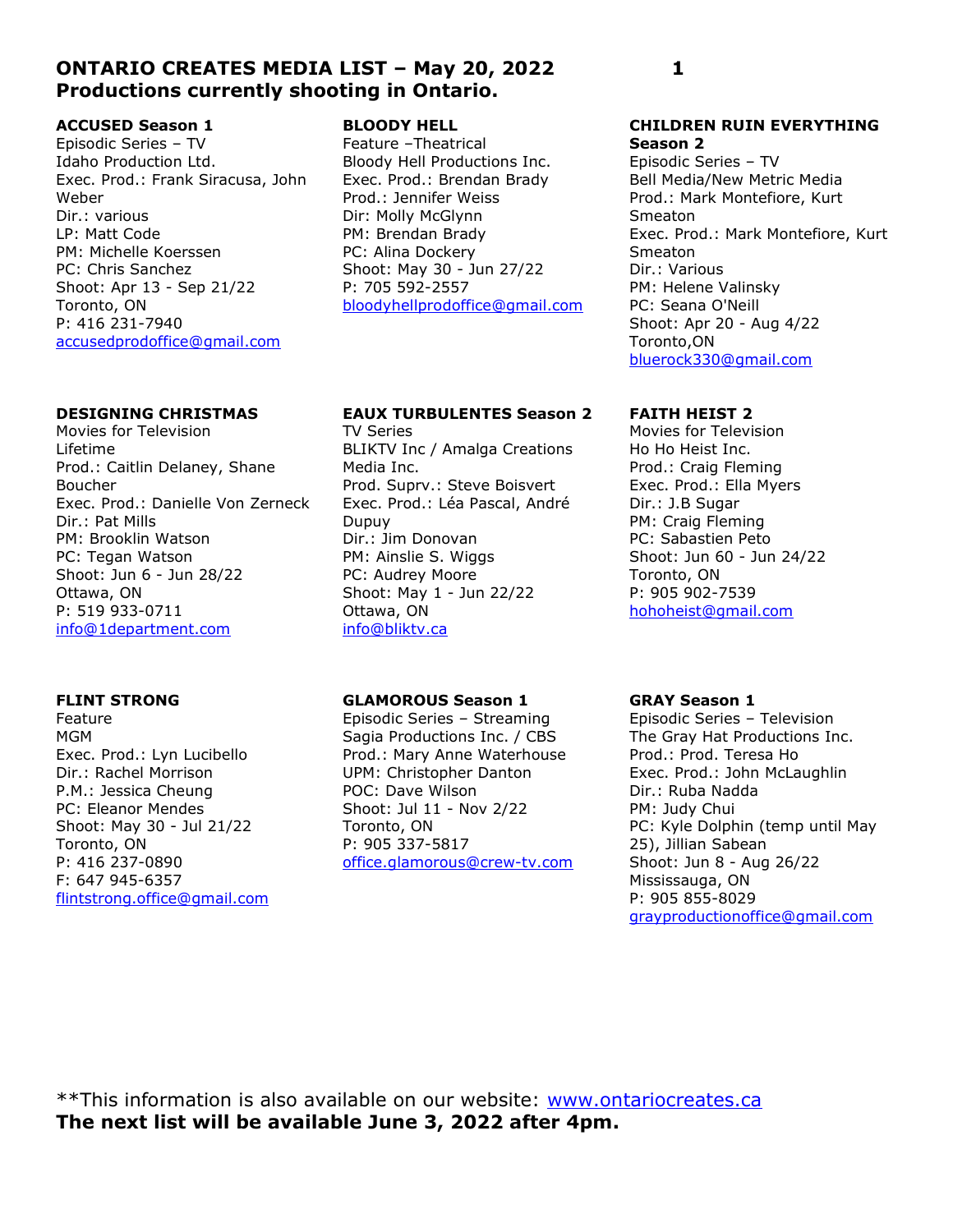## ONTARIO CREATES MEDIA LIST – May 20, 2022 1 Productions currently shooting in Ontario.

## ACCUSED Season 1

Episodic Series – TV Idaho Production Ltd. Exec. Prod.: Frank Siracusa, John Weber Dir.: various LP: Matt Code PM: Michelle Koerssen PC: Chris Sanchez Shoot: Apr 13 - Sep 21/22 Toronto, ON P: 416 231-7940 accusedprodoffice@gmail.com

### DESIGNING CHRISTMAS

Movies for Television Lifetime Prod.: Caitlin Delaney, Shane Boucher Exec. Prod.: Danielle Von Zerneck Dir.: Pat Mills PM: Brooklin Watson PC: Tegan Watson Shoot: Jun 6 - Jun 28/22 Ottawa, ON P: 519 933-0711 info@1department.com

## FLINT STRONG

Feature MGM Exec. Prod.: Lyn Lucibello Dir.: Rachel Morrison P.M.: Jessica Cheung PC: Eleanor Mendes Shoot: May 30 - Jul 21/22 Toronto, ON P: 416 237-0890 F: 647 945-6357 flintstrong.office@gmail.com

#### BLOODY HELL

Feature –Theatrical Bloody Hell Productions Inc. Exec. Prod.: Brendan Brady Prod.: Jennifer Weiss Dir: Molly McGlynn PM: Brendan Brady PC: Alina Dockery Shoot: May 30 - Jun 27/22 P: 705 592-2557 bloodyhellprodoffice@gmail.com

## EAUX TURBULENTES Season 2

TV Series BLIKTV Inc / Amalga Creations Media Inc. Prod. Suprv.: Steve Boisvert Exec. Prod.: Léa Pascal, André Dupuy Dir.: Jim Donovan PM: Ainslie S. Wiggs PC: Audrey Moore Shoot: May 1 - Jun 22/22 Ottawa, ON info@bliktv.ca

#### GLAMOROUS Season 1

Episodic Series – Streaming Sagia Productions Inc. / CBS Prod.: Mary Anne Waterhouse UPM: Christopher Danton POC: Dave Wilson Shoot: Jul 11 - Nov 2/22 Toronto, ON P: 905 337-5817 office.glamorous@crew-tv.com

# GRAY Season 1

Episodic Series – Television The Gray Hat Productions Inc. Prod.: Prod. Teresa Ho Exec. Prod.: John McLaughlin Dir.: Ruba Nadda PM: Judy Chui PC: Kyle Dolphin (temp until May 25), Jillian Sabean Shoot: Jun 8 - Aug 26/22 Mississauga, ON P: 905 855-8029 grayproductionoffice@gmail.com

#### CHILDREN RUIN EVERYTHING Season 2

Episodic Series – TV Bell Media/New Metric Media Prod.: Mark Montefiore, Kurt Smeaton Exec. Prod.: Mark Montefiore, Kurt Smeaton Dir.: Various PM: Helene Valinsky PC: Seana O'Neill Shoot: Apr 20 - Aug 4/22 Toronto,ON bluerock330@gmail.com

## FAITH HEIST 2

Movies for Television Ho Ho Heist Inc. Prod.: Craig Fleming Exec. Prod.: Ella Myers Dir.: J.B Sugar PM: Craig Fleming PC: Sabastien Peto Shoot: Jun 60 - Jun 24/22 Toronto, ON P: 905 902-7539 hohoheist@gmail.com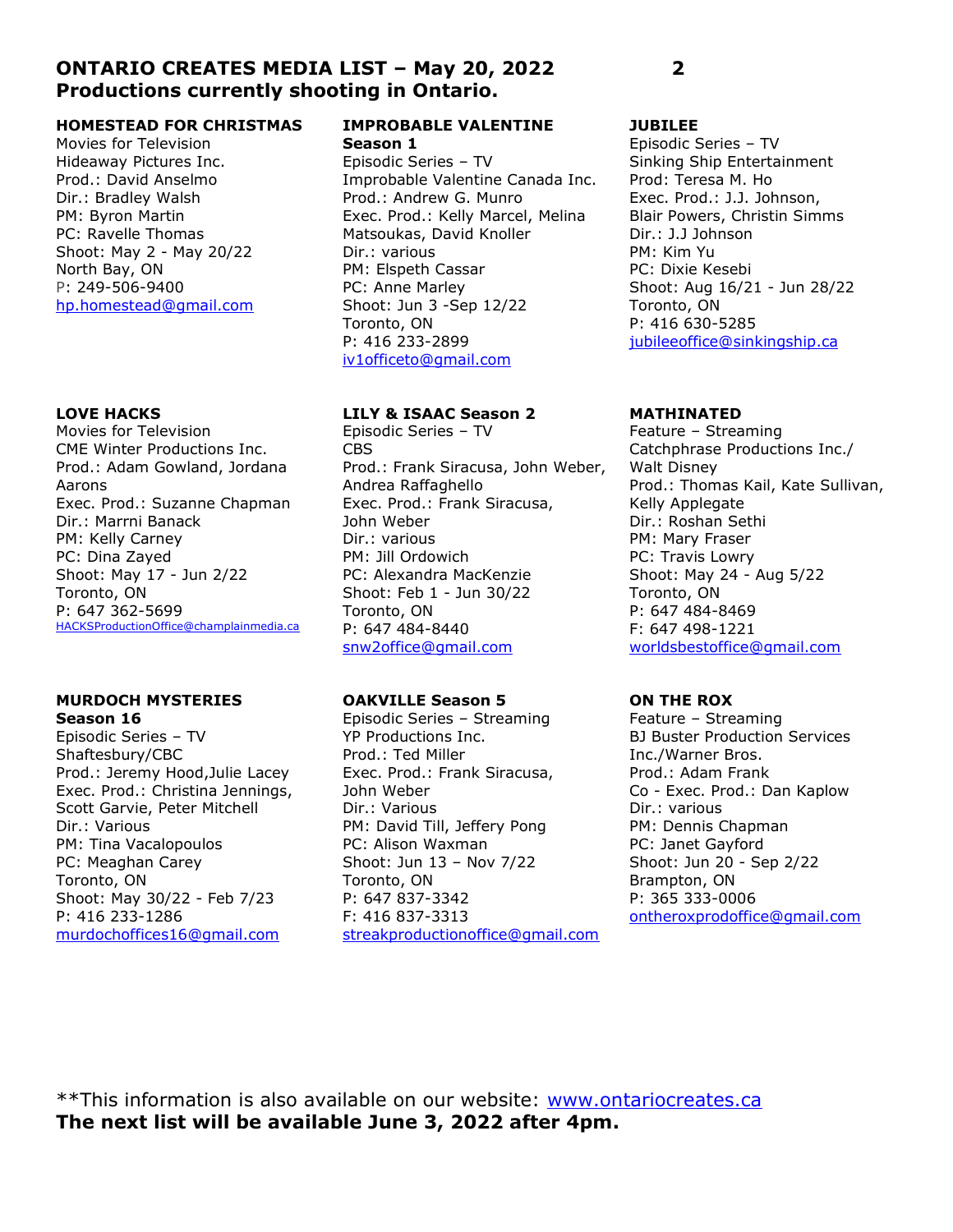## ONTARIO CREATES MEDIA LIST – May 20, 2022 2 Productions currently shooting in Ontario.

#### HOMESTEAD FOR CHRISTMAS

Movies for Television Hideaway Pictures Inc. Prod.: David Anselmo Dir.: Bradley Walsh PM: Byron Martin PC: Ravelle Thomas Shoot: May 2 - May 20/22 North Bay, ON P: 249-506-9400 hp.homestead@gmail.com

### LOVE HACKS

Movies for Television CME Winter Productions Inc. Prod.: Adam Gowland, Jordana Aarons Exec. Prod.: Suzanne Chapman Dir.: Marrni Banack PM: Kelly Carney PC: Dina Zayed Shoot: May 17 - Jun 2/22 Toronto, ON P: 647 362-5699 HACKSProductionOffice@champlainmedia.ca

#### MURDOCH MYSTERIES Season 16

Episodic Series – TV Shaftesbury/CBC Prod.: Jeremy Hood,Julie Lacey Exec. Prod.: Christina Jennings, Scott Garvie, Peter Mitchell Dir.: Various PM: Tina Vacalopoulos PC: Meaghan Carey Toronto, ON Shoot: May 30/22 - Feb 7/23 P: 416 233-1286 murdochoffices16@gmail.com

#### IMPROBABLE VALENTINE Season 1

Episodic Series – TV Improbable Valentine Canada Inc. Prod.: Andrew G. Munro Exec. Prod.: Kelly Marcel, Melina Matsoukas, David Knoller Dir.: various PM: Elspeth Cassar PC: Anne Marley Shoot: Jun 3 -Sep 12/22 Toronto, ON P: 416 233-2899 iv1officeto@gmail.com

## LILY & ISAAC Season 2

Episodic Series – TV CBS Prod.: Frank Siracusa, John Weber, Andrea Raffaghello Exec. Prod.: Frank Siracusa, John Weber Dir.: various PM: Jill Ordowich PC: Alexandra MacKenzie Shoot: Feb 1 - Jun 30/22 Toronto, ON P: 647 484-8440 snw2office@gmail.com

## OAKVILLE Season 5

Episodic Series – Streaming YP Productions Inc. Prod.: Ted Miller Exec. Prod.: Frank Siracusa, John Weber Dir.: Various PM: David Till, Jeffery Pong PC: Alison Waxman Shoot: Jun 13 – Nov 7/22 Toronto, ON P: 647 837-3342 F: 416 837-3313 streakproductionoffice@gmail.com

## JUBILEE

Episodic Series – TV Sinking Ship Entertainment Prod: Teresa M. Ho Exec. Prod.: J.J. Johnson, Blair Powers, Christin Simms Dir.: J.J Johnson PM: Kim Yu PC: Dixie Kesebi Shoot: Aug 16/21 - Jun 28/22 Toronto, ON P: 416 630-5285 jubileeoffice@sinkingship.ca

## MATHINATED

Feature – Streaming Catchphrase Productions Inc./ Walt Disney Prod.: Thomas Kail, Kate Sullivan, Kelly Applegate Dir.: Roshan Sethi PM: Mary Fraser PC: Travis Lowry Shoot: May 24 - Aug 5/22 Toronto, ON P: 647 484-8469 F: 647 498-1221 worldsbestoffice@gmail.com

## ON THE ROX

Feature – Streaming BJ Buster Production Services Inc./Warner Bros. Prod.: Adam Frank Co - Exec. Prod.: Dan Kaplow Dir.: various PM: Dennis Chapman PC: Janet Gayford Shoot: Jun 20 - Sep 2/22 Brampton, ON P: 365 333-0006 ontheroxprodoffice@gmail.com

\*\*This information is also available on our website: www.ontariocreates.ca The next list will be available June 3, 2022 after 4pm.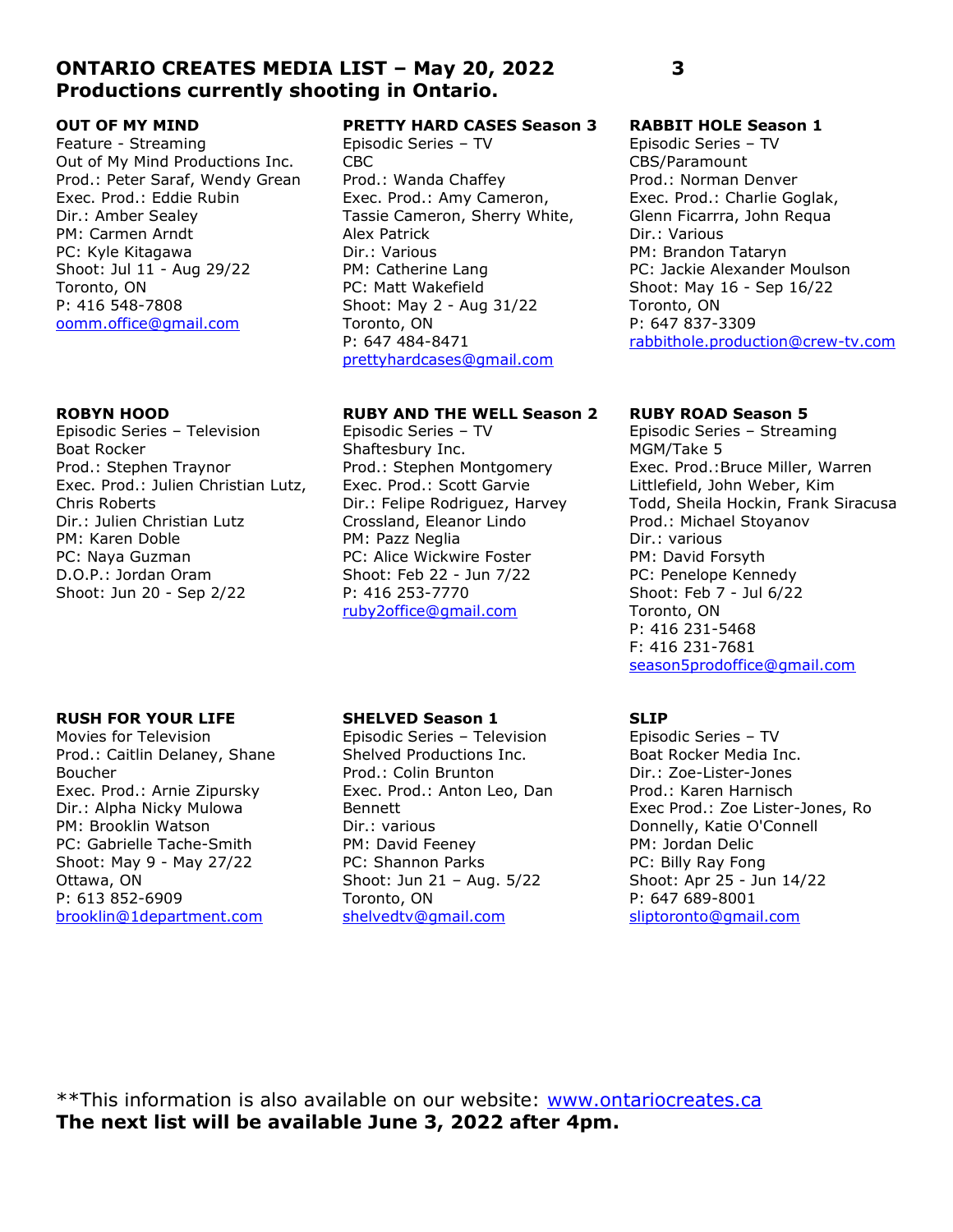## ONTARIO CREATES MEDIA LIST – May 20, 2022 3 Productions currently shooting in Ontario.

### OUT OF MY MIND

Feature - Streaming Out of My Mind Productions Inc. Prod.: Peter Saraf, Wendy Grean Exec. Prod.: Eddie Rubin Dir.: Amber Sealey PM: Carmen Arndt PC: Kyle Kitagawa Shoot: Jul 11 - Aug 29/22 Toronto, ON P: 416 548-7808 oomm.office@gmail.com

#### ROBYN HOOD

Episodic Series – Television Boat Rocker Prod.: Stephen Traynor Exec. Prod.: Julien Christian Lutz, Chris Roberts Dir.: Julien Christian Lutz PM: Karen Doble PC: Naya Guzman D.O.P.: Jordan Oram Shoot: Jun 20 - Sep 2/22

## PRETTY HARD CASES Season 3

Episodic Series – TV CBC Prod.: Wanda Chaffey Exec. Prod.: Amy Cameron, Tassie Cameron, Sherry White, Alex Patrick Dir.: Various PM: Catherine Lang PC: Matt Wakefield Shoot: May 2 - Aug 31/22 Toronto, ON P: 647 484-8471 prettyhardcases@gmail.com

### RUBY AND THE WELL Season 2

Episodic Series – TV Shaftesbury Inc. Prod.: Stephen Montgomery Exec. Prod.: Scott Garvie Dir.: Felipe Rodriguez, Harvey Crossland, Eleanor Lindo PM: Pazz Neglia PC: Alice Wickwire Foster Shoot: Feb 22 - Jun 7/22 P: 416 253-7770 ruby2office@gmail.com

#### RABBIT HOLE Season 1

Episodic Series – TV CBS/Paramount Prod.: Norman Denver Exec. Prod.: Charlie Goglak, Glenn Ficarrra, John Requa Dir.: Various PM: Brandon Tataryn PC: Jackie Alexander Moulson Shoot: May 16 - Sep 16/22 Toronto, ON P: 647 837-3309 rabbithole.production@crew-tv.com

#### RUBY ROAD Season 5

Episodic Series – Streaming MGM/Take 5 Exec. Prod.:Bruce Miller, Warren Littlefield, John Weber, Kim Todd, Sheila Hockin, Frank Siracusa Prod.: Michael Stoyanov Dir.: various PM: David Forsyth PC: Penelope Kennedy Shoot: Feb 7 - Jul 6/22 Toronto, ON P: 416 231-5468 F: 416 231-7681 season5prodoffice@gmail.com

#### RUSH FOR YOUR LIFE

Movies for Television Prod.: Caitlin Delaney, Shane Boucher Exec. Prod.: Arnie Zipursky Dir.: Alpha Nicky Mulowa PM: Brooklin Watson PC: Gabrielle Tache-Smith Shoot: May 9 - May 27/22 Ottawa, ON P: 613 852-6909 brooklin@1department.com

#### SHELVED Season 1

Episodic Series – Television Shelved Productions Inc. Prod.: Colin Brunton Exec. Prod.: Anton Leo, Dan Bennett Dir.: various PM: David Feeney PC: Shannon Parks Shoot: Jun 21 – Aug. 5/22 Toronto, ON shelvedtv@gmail.com

## SLIP

Episodic Series – TV Boat Rocker Media Inc. Dir.: Zoe-Lister-Jones Prod.: Karen Harnisch Exec Prod.: Zoe Lister-Jones, Ro Donnelly, Katie O'Connell PM: Jordan Delic PC: Billy Ray Fong Shoot: Apr 25 - Jun 14/22 P: 647 689-8001 sliptoronto@gmail.com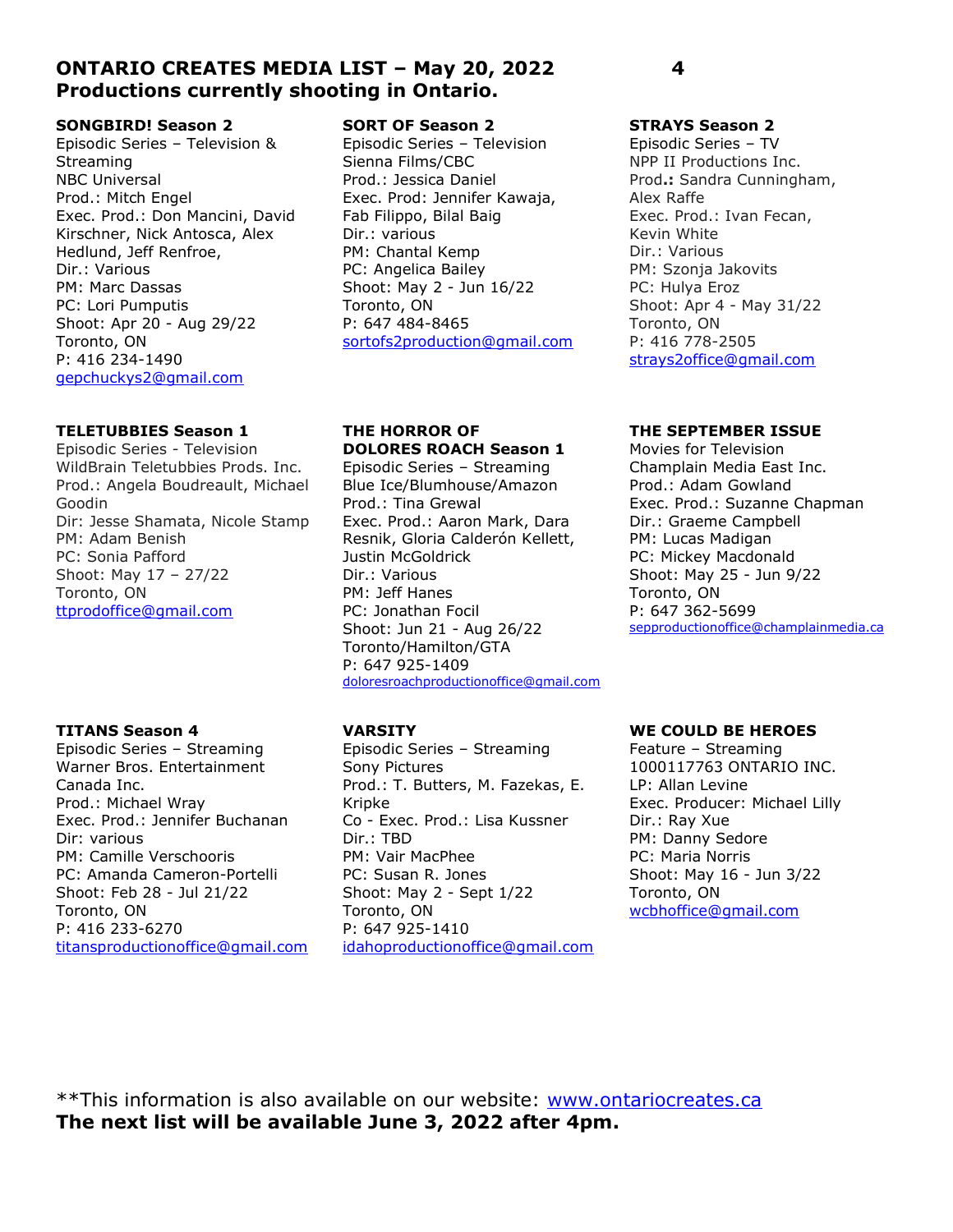## ONTARIO CREATES MEDIA LIST – May 20, 2022 4 Productions currently shooting in Ontario.

#### SONGBIRD! Season 2

Episodic Series – Television & Streaming NBC Universal Prod.: Mitch Engel Exec. Prod.: Don Mancini, David Kirschner, Nick Antosca, Alex Hedlund, Jeff Renfroe, Dir.: Various PM: Marc Dassas PC: Lori Pumputis Shoot: Apr 20 - Aug 29/22 Toronto, ON P: 416 234-1490 gepchuckys2@gmail.com

#### TELETUBBIES Season 1

Episodic Series - Television WildBrain Teletubbies Prods. Inc. Prod.: Angela Boudreault, Michael Goodin Dir: Jesse Shamata, Nicole Stamp PM: Adam Benish PC: Sonia Pafford Shoot: May 17 – 27/22 Toronto, ON ttprodoffice@gmail.com

## TITANS Season 4

Episodic Series – Streaming Warner Bros. Entertainment Canada Inc. Prod.: Michael Wray Exec. Prod.: Jennifer Buchanan Dir: various PM: Camille Verschooris PC: Amanda Cameron-Portelli Shoot: Feb 28 - Jul 21/22 Toronto, ON P: 416 233-6270 titansproductionoffice@gmail.com

#### SORT OF Season 2

Episodic Series – Television Sienna Films/CBC Prod.: Jessica Daniel Exec. Prod: Jennifer Kawaja, Fab Filippo, Bilal Baig Dir.: various PM: Chantal Kemp PC: Angelica Bailey Shoot: May 2 - Jun 16/22 Toronto, ON P: 647 484-8465 sortofs2production@gmail.com

## THE HORROR OF DOLORES ROACH Season 1

Episodic Series – Streaming Blue Ice/Blumhouse/Amazon Prod.: Tina Grewal Exec. Prod.: Aaron Mark, Dara Resnik, Gloria Calderón Kellett, Justin McGoldrick Dir.: Various PM: Jeff Hanes PC: Jonathan Focil Shoot: Jun 21 - Aug 26/22 Toronto/Hamilton/GTA P: 647 925-1409 doloresroachproductionoffice@gmail.com

## VARSITY

Episodic Series – Streaming Sony Pictures Prod.: T. Butters, M. Fazekas, E. Kripke Co - Exec. Prod.: Lisa Kussner Dir.: TBD PM: Vair MacPhee PC: Susan R. Jones Shoot: May 2 - Sept 1/22 Toronto, ON P: 647 925-1410 idahoproductionoffice@gmail.com

## STRAYS Season 2

Episodic Series – TV NPP II Productions Inc. Prod.: Sandra Cunningham, Alex Raffe Exec. Prod.: Ivan Fecan, Kevin White Dir.: Various PM: Szonja Jakovits PC: Hulya Eroz Shoot: Apr 4 - May 31/22 Toronto, ON P: 416 778-2505 strays2office@gmail.com

### THE SEPTEMBER ISSUE

Movies for Television Champlain Media East Inc. Prod.: Adam Gowland Exec. Prod.: Suzanne Chapman Dir.: Graeme Campbell PM: Lucas Madigan PC: Mickey Macdonald Shoot: May 25 - Jun 9/22 Toronto, ON P: 647 362-5699 sepproductionoffice@champlainmedia.ca

## WE COULD BE HEROES

Feature – Streaming 1000117763 ONTARIO INC. LP: Allan Levine Exec. Producer: Michael Lilly Dir.: Ray Xue PM: Danny Sedore PC: Maria Norris Shoot: May 16 - Jun 3/22 Toronto, ON wcbhoffice@gmail.com

\*\*This information is also available on our website: www.ontariocreates.ca The next list will be available June 3, 2022 after 4pm.